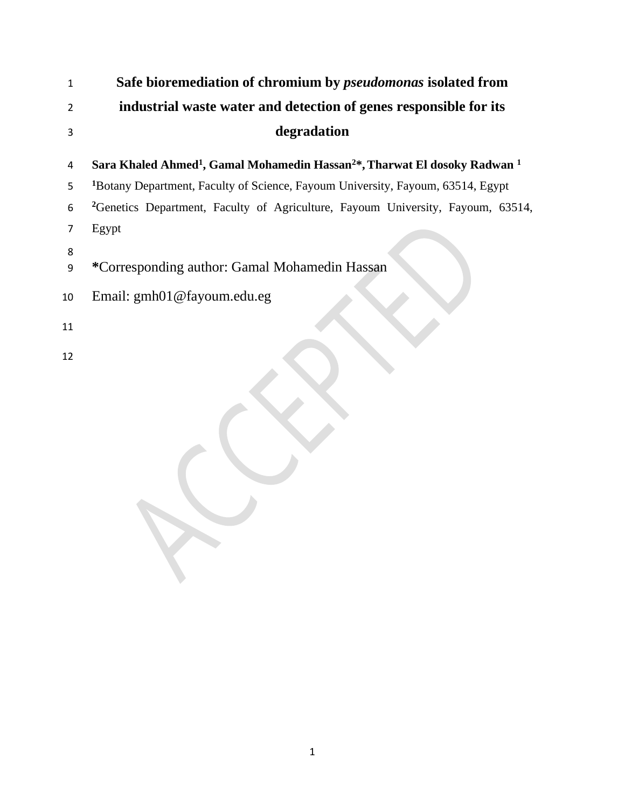| 1             | Safe bioremediation of chromium by <i>pseudomonas</i> isolated from                                           |  |  |  |  |
|---------------|---------------------------------------------------------------------------------------------------------------|--|--|--|--|
| $\mathcal{P}$ | industrial waste water and detection of genes responsible for its                                             |  |  |  |  |
| 3             | degradation                                                                                                   |  |  |  |  |
| 4             | Sara Khaled Ahmed <sup>1</sup> , Gamal Mohamedin Hassan <sup>2*</sup> , Tharwat El dosoky Radwan <sup>1</sup> |  |  |  |  |
| 5             | <sup>1</sup> Botany Department, Faculty of Science, Fayoum University, Fayoum, 63514, Egypt                   |  |  |  |  |
| 6             | <sup>2</sup> Genetics Department, Faculty of Agriculture, Fayoum University, Fayoum, 63514,                   |  |  |  |  |
| 7             | Egypt                                                                                                         |  |  |  |  |
| 8<br>9        | *Corresponding author: Gamal Mohamedin Hassan                                                                 |  |  |  |  |
| 10            | Email: gmh01@fayoum.edu.eg                                                                                    |  |  |  |  |
| 11            |                                                                                                               |  |  |  |  |
| 12            |                                                                                                               |  |  |  |  |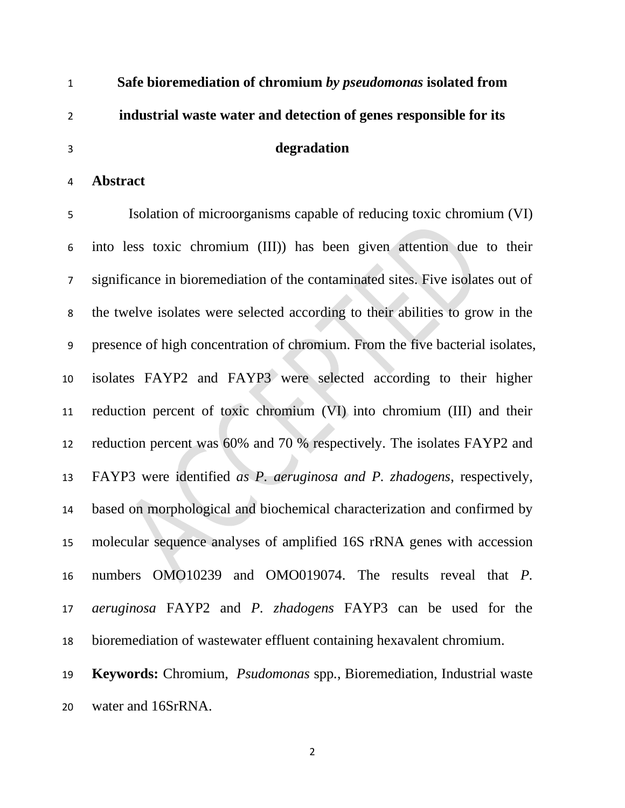| $\mathbf{1}$  | Safe bioremediation of chromium by pseudomonas isolated from      |
|---------------|-------------------------------------------------------------------|
| $\mathcal{L}$ | industrial waste water and detection of genes responsible for its |
| 3             | degradation                                                       |

**Abstract**

 Isolation of microorganisms capable of reducing toxic chromium (VI) into less toxic chromium (III)) has been given attention due to their significance in bioremediation of the contaminated sites. Five isolates out of the twelve isolates were selected according to their abilities to grow in the presence of high concentration of chromium. From the five bacterial isolates, isolates FAYP2 and FAYP3 were selected according to their higher reduction percent of toxic chromium (VI) into chromium (III) and their reduction percent was 60% and 70 % respectively. The isolates FAYP2 and FAYP3 were identified *as P. aeruginosa and P. zhadogens*, respectively, based on morphological and biochemical characterization and confirmed by molecular sequence analyses of amplified 16S rRNA genes with accession numbers OMO10239 and OMO019074. The results reveal that *P. aeruginosa* FAYP2 and *P. zhadogens* FAYP3 can be used for the bioremediation of wastewater effluent containing hexavalent chromium.

 **Keywords:** Chromium, *Psudomonas* spp*.*, Bioremediation, Industrial waste water and 16SrRNA.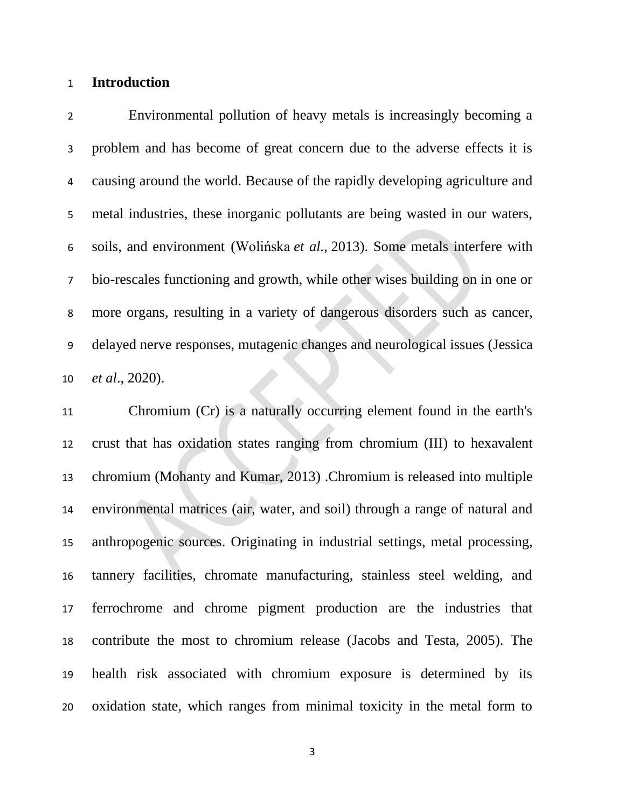### **Introduction**

 Environmental pollution of heavy metals is increasingly becoming a problem and has become of great concern due to the adverse effects it is causing around the world. Because of the rapidly developing agriculture and metal industries, these inorganic pollutants are being wasted in our waters, soils, and environment (Wolińska *et al.*, [2013\)](https://www.ncbi.nlm.nih.gov/pmc/articles/PMC4427717/#CIT0099). Some metals interfere with bio-rescales functioning and growth, while other wises building on in one or more organs, resulting in a variety of dangerous disorders such as cancer, delayed nerve responses, mutagenic changes and neurological issues (Jessica *et al*., 2020).

 Chromium (Cr) is a naturally occurring element found in the earth's crust that has oxidation states ranging from chromium (III) to hexavalent chromium (Mohanty and Kumar, 2013) .Chromium is released into multiple environmental matrices (air, water, and soil) through a range of natural and anthropogenic sources. Originating in industrial settings, metal processing, tannery facilities, chromate manufacturing, stainless steel welding, and ferrochrome and chrome pigment production are the industries that contribute the most to chromium release (Jacobs and Testa, 2005). The health risk associated with chromium exposure is determined by its oxidation state, which ranges from minimal toxicity in the metal form to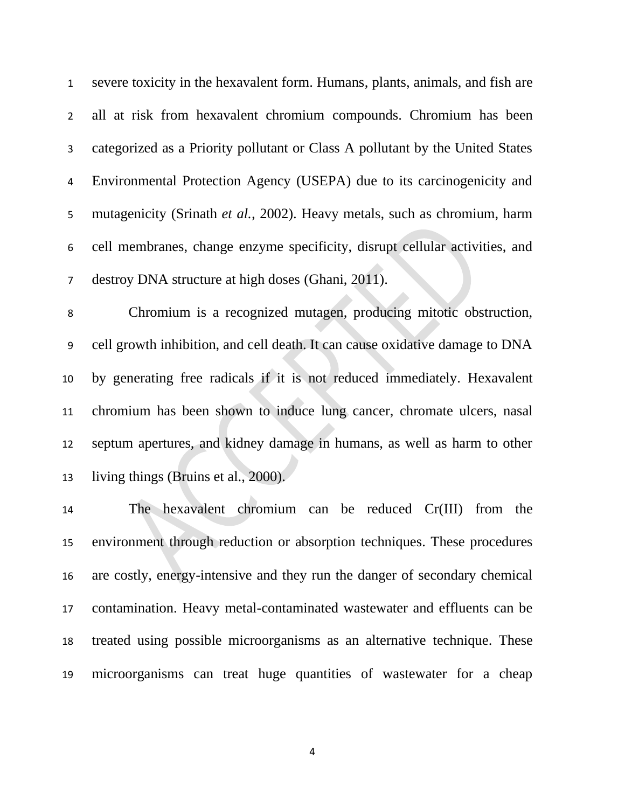severe toxicity in the hexavalent form. Humans, plants, animals, and fish are all at risk from hexavalent chromium compounds. Chromium has been categorized as a Priority pollutant or Class A pollutant by the United States Environmental Protection Agency (USEPA) due to its carcinogenicity and mutagenicity (Srinath *et al.,* 2002). Heavy metals, such as chromium, harm cell membranes, change enzyme specificity, disrupt cellular activities, and destroy DNA structure at high doses (Ghani, [2011\)](https://www.ncbi.nlm.nih.gov/pmc/articles/PMC4427717/#CIT0028).

 Chromium is a recognized mutagen, producing mitotic obstruction, cell growth inhibition, and cell death. It can cause oxidative damage to DNA by generating free radicals if it is not reduced immediately. Hexavalent chromium has been shown to induce lung cancer, chromate ulcers, nasal septum apertures, and kidney damage in humans, as well as harm to other living things (Bruins et al., 2000).

 The hexavalent chromium can be reduced Cr(III) from the environment through reduction or absorption techniques. These procedures are costly, energy-intensive and they run the danger of secondary chemical contamination. Heavy metal-contaminated wastewater and effluents can be treated using possible microorganisms as an alternative technique. These microorganisms can treat huge quantities of wastewater for a cheap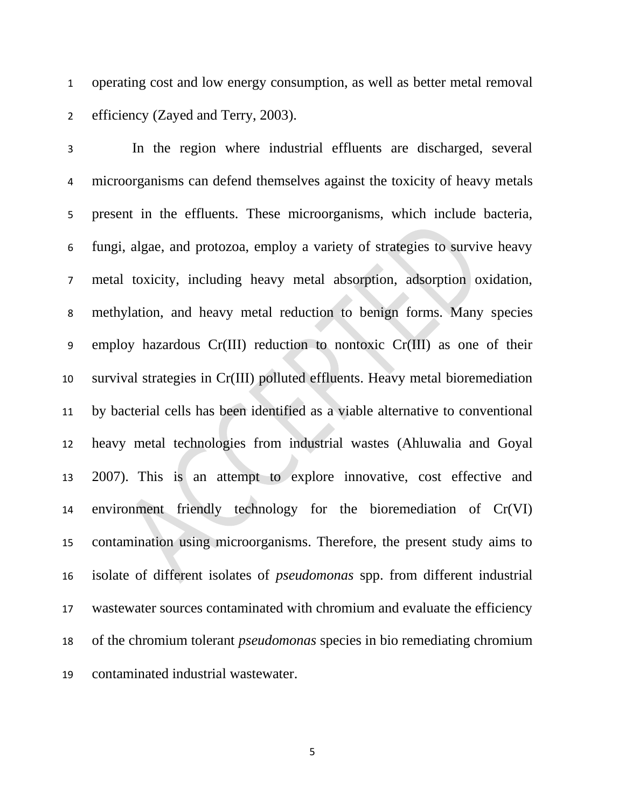operating cost and low energy consumption, as well as better metal removal efficiency (Zayed and Terry, [2003\)](https://www.ncbi.nlm.nih.gov/pmc/articles/PMC4427717/#CIT0101).

 In the region where industrial effluents are discharged, several microorganisms can defend themselves against the toxicity of heavy metals present in the effluents. These microorganisms, which include bacteria, fungi, algae, and protozoa, employ a variety of strategies to survive heavy metal toxicity, including heavy metal absorption, adsorption oxidation, methylation, and heavy metal reduction to benign forms. Many species employ hazardous Cr(III) reduction to nontoxic Cr(III) as one of their survival strategies in Cr(III) polluted effluents. Heavy metal bioremediation by bacterial cells has been identified as a viable alternative to conventional heavy metal technologies from industrial wastes (Ahluwalia and Goyal 2007). This is an attempt to explore innovative, cost effective and environment friendly technology for the bioremediation of Cr(VI) contamination using microorganisms. Therefore, the present study aims to isolate of different isolates of *pseudomonas* spp. from different industrial wastewater sources contaminated with chromium and evaluate the efficiency of the chromium tolerant *pseudomonas* species in bio remediating chromium contaminated industrial wastewater.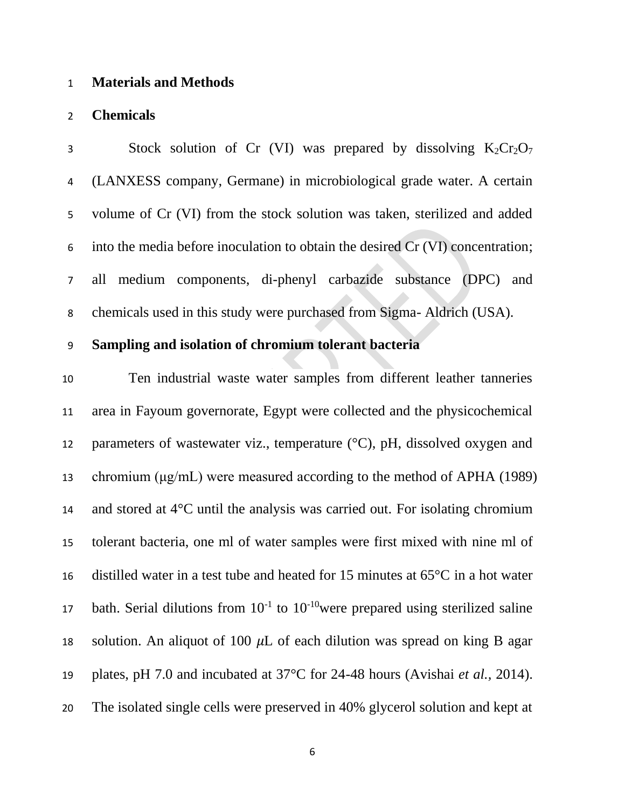#### **Materials and Methods**

#### **Chemicals**

3 Stock solution of Cr (VI) was prepared by dissolving  $K_2Cr_2O_7$  (LANXESS company, Germane) in microbiological grade water. A certain volume of Cr (VI) from the stock solution was taken, sterilized and added into the media before inoculation to obtain the desired Cr (VI) concentration; all medium components, di-phenyl carbazide substance (DPC) and chemicals used in this study were purchased from Sigma- Aldrich (USA).

### **Sampling and isolation of chromium tolerant bacteria**

 Ten industrial waste water samples from different leather tanneries area in Fayoum governorate, Egypt were collected and the physicochemical 12 parameters of wastewater viz., temperature  $({}^{\circ}C)$ , pH, dissolved oxygen and chromium (μg/mL) were measured according to the method of APHA (1989) and stored at 4°C until the analysis was carried out. For isolating chromium tolerant bacteria, one ml of water samples were first mixed with nine ml of distilled water in a test tube and heated for 15 minutes at 65°C in a hot water 17 bath. Serial dilutions from  $10^{-1}$  to  $10^{-10}$ were prepared using sterilized saline 18 solution. An aliquot of 100  $\mu$ L of each dilution was spread on king B agar plates, pH 7.0 and incubated at 37°C for 24-48 hours (Avishai *et al.,* 2014). The isolated single cells were preserved in 40% glycerol solution and kept at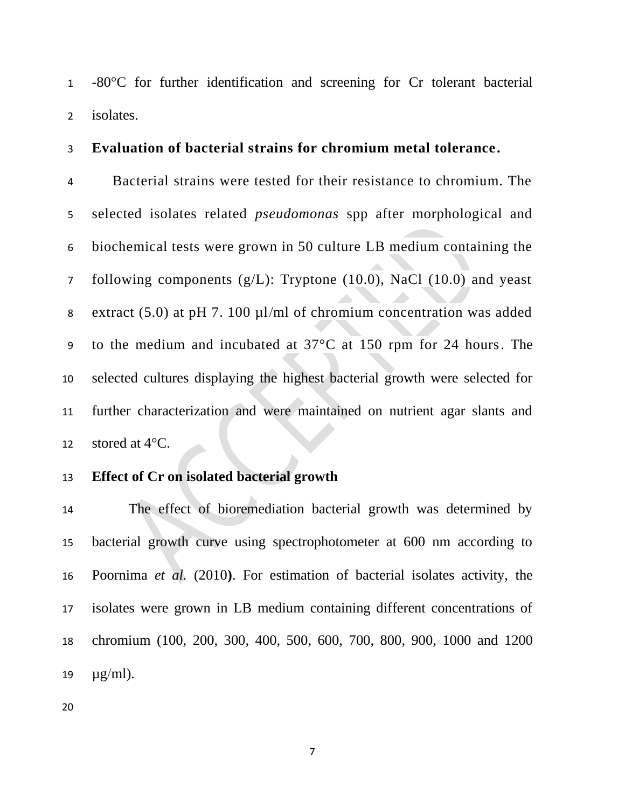-80°C for further identification and screening for Cr tolerant bacterial isolates.

### **Evaluation of bacterial strains for chromium metal tolerance.**

 Bacterial strains were tested for their resistance to chromium. The selected isolates related *pseudomonas* spp after morphological and biochemical tests were grown in 50 culture LB medium containing the 7 following components  $(g/L)$ : Tryptone (10.0), NaCl (10.0) and yeast 8 extract (5.0) at pH 7. 100  $\mu$ 1/ml of chromium concentration was added to the medium and incubated at 37°C at 150 rpm for 24 hours. The selected cultures displaying the highest bacterial growth were selected for further characterization and were maintained on nutrient agar slants and 12 stored at  $4^{\circ}$ C.

### **Effect of Cr on isolated bacterial growth**

 The effect of bioremediation bacterial growth was determined by bacterial growth curve using spectrophotometer at 600 nm according to Poornima *et al.* (2010**)**. For estimation of bacterial isolates activity, the isolates were grown in LB medium containing different concentrations of chromium (100, 200, 300, 400, 500, 600, 700, 800, 900, 1000 and 1200  $\mu$ g/ml).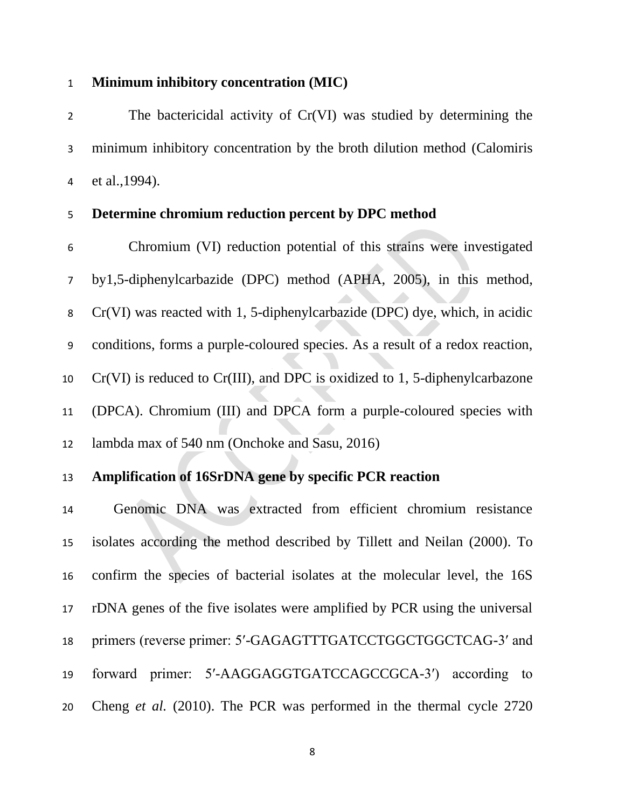### **Minimum inhibitory concentration (MIC)**

 The bactericidal activity of Cr(VI) was studied by determining the minimum inhibitory concentration by the broth dilution method (Calomiris et al.,1994).

### **Determine chromium reduction percent by DPC method**

 Chromium (VI) reduction potential of this strains were investigated by1,5-diphenylcarbazide (DPC) method (APHA, 2005), in this method, Cr(VI) was reacted with 1, 5-diphenylcarbazide (DPC) dye, which, in acidic conditions, forms a purple-coloured species. As a result of a redox reaction, Cr(VI) is reduced to Cr(III), and DPC is oxidized to 1, 5-diphenylcarbazone (DPCA). Chromium (III) and DPCA form a purple-coloured species with lambda max of 540 nm (Onchoke and Sasu, 2016)

# **Amplification of 16SrDNA gene by specific PCR reaction**

 Genomic DNA was extracted from efficient chromium resistance isolates according the method described by Tillett and Neilan (2000). To confirm the species of bacterial isolates at the molecular level, the 16S rDNA genes of the five isolates were amplified by PCR using the universal primers (reverse primer: 5′-GAGAGTTTGATCCTGGCTGGCTCAG-3′ and forward primer: 5′-AAGGAGGTGATCCAGCCGCA-3′) according to Cheng *et al.* (2010). The PCR was performed in the thermal cycle 2720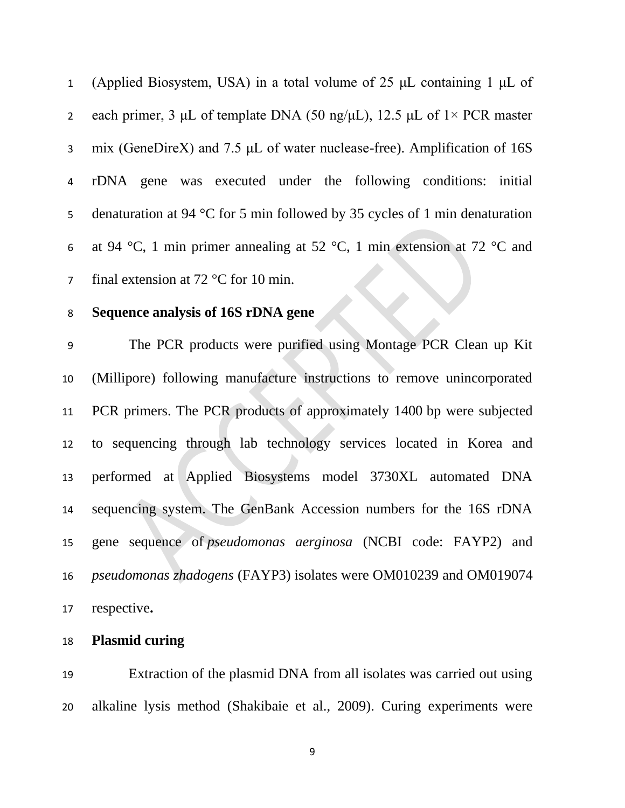(Applied Biosystem, USA) in a total volume of 25 μL containing 1 μL of 2 each primer, 3 μL of template DNA (50 ng/μL), 12.5 μL of  $1 \times PCR$  master mix (GeneDireX) and 7.5 μL of water nuclease-free). Amplification of 16S rDNA gene was executed under the following conditions: initial denaturation at 94 °C for 5 min followed by 35 cycles of 1 min denaturation 6 at 94 °C, 1 min primer annealing at 52 °C, 1 min extension at 72 °C and 7 final extension at 72 °C for 10 min.

## **Sequence analysis of 16S rDNA gene**

 The PCR products were purified using Montage PCR Clean up Kit (Millipore) following manufacture instructions to remove unincorporated PCR primers. The PCR products of approximately 1400 bp were subjected to sequencing through lab technology services located in Korea and performed at Applied Biosystems model 3730XL automated DNA sequencing system. The GenBank Accession numbers for the 16S rDNA gene sequence of *pseudomonas aerginosa* (NCBI code: FAYP2) and *pseudomonas zhadogens* (FAYP3) isolates were OM010239 and OM019074 respective**.**

**Plasmid curing** 

 Extraction of the plasmid DNA from all isolates was carried out using alkaline lysis method (Shakibaie et al., 2009). Curing experiments were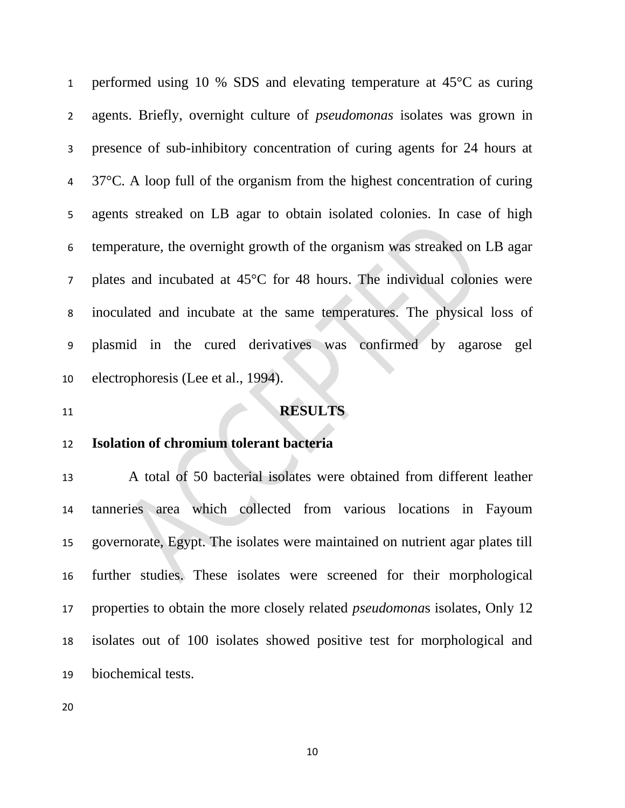performed using 10 % SDS and elevating temperature at 45°C as curing agents. Briefly, overnight culture of *pseudomonas* isolates was grown in presence of sub-inhibitory concentration of curing agents for 24 hours at 37°C. A loop full of the organism from the highest concentration of curing agents streaked on LB agar to obtain isolated colonies. In case of high temperature, the overnight growth of the organism was streaked on LB agar plates and incubated at 45°C for 48 hours. The individual colonies were inoculated and incubate at the same temperatures. The physical loss of plasmid in the cured derivatives was confirmed by agarose gel electrophoresis (Lee et al., 1994).

### **RESULTS**

### **Isolation of chromium tolerant bacteria**

 A total of 50 bacterial isolates were obtained from different leather tanneries area which collected from various locations in Fayoum governorate, Egypt. The isolates were maintained on nutrient agar plates till further studies. These isolates were screened for their morphological properties to obtain the more closely related *pseudomona*s isolates, Only 12 isolates out of 100 isolates showed positive test for morphological and biochemical tests.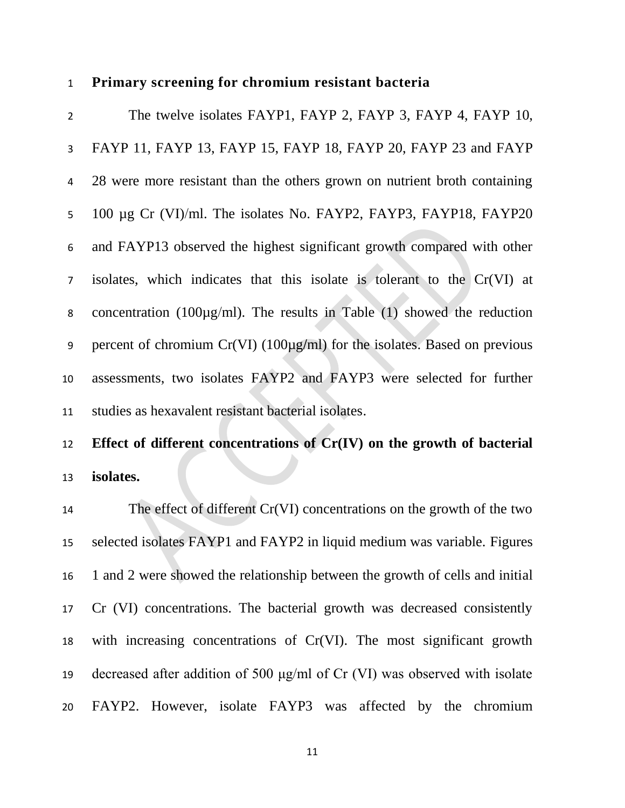### **Primary screening for chromium resistant bacteria**

 The twelve isolates FAYP1, FAYP 2, FAYP 3, FAYP 4, FAYP 10, FAYP 11, FAYP 13, FAYP 15, FAYP 18, FAYP 20, FAYP 23 and FAYP 28 were more resistant than the others grown on nutrient broth containing 5 100 µg Cr (VI)/ml. The isolates No. FAYP2, FAYP3, FAYP18, FAYP20 and FAYP13 observed the highest significant growth compared with other isolates, which indicates that this isolate is tolerant to the Cr(VI) at concentration (100µg/ml). The results in Table (1) showed the reduction percent of chromium Cr(VI) (100µg**/**ml) for the isolates. Based on previous assessments, two isolates FAYP2 and FAYP3 were selected for further studies as hexavalent resistant bacterial isolates.

# **Effect of different concentrations of Cr(IV) on the growth of bacterial isolates.**

14 The effect of different Cr(VI) concentrations on the growth of the two selected isolates FAYP1 and FAYP2 in liquid medium was variable. Figures 1 and 2 were showed the relationship between the growth of cells and initial Cr (VI) concentrations. The bacterial growth was decreased consistently with increasing concentrations of Cr(VI). The most significant growth decreased after addition of 500 μg/ml of Cr (VI) was observed with isolate FAYP2. However, isolate FAYP3 was affected by the chromium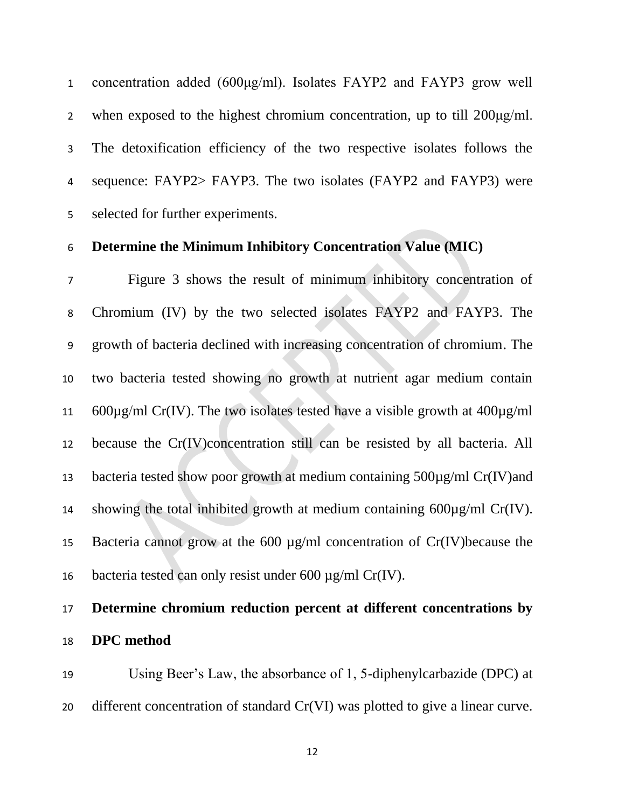concentration added (600μg/ml). Isolates FAYP2 and FAYP3 grow well when exposed to the highest chromium concentration, up to till 200μg/ml. The detoxification efficiency of the two respective isolates follows the sequence: FAYP2> FAYP3. The two isolates (FAYP2 and FAYP3) were selected for further experiments.

### **Determine the Minimum Inhibitory Concentration Value (MIC)**

 Figure 3 shows the result of minimum inhibitory concentration of Chromium (IV) by the two selected isolates FAYP2 and FAYP3. The growth of bacteria declined with increasing concentration of chromium. The two bacteria tested showing no growth at nutrient agar medium contain 11 600 $\mu$ g/ml Cr(IV). The two isolates tested have a visible growth at 400 $\mu$ g/ml because the Cr(IV)concentration still can be resisted by all bacteria. All bacteria tested show poor growth at medium containing 500µg/ml Cr(IV)and 14 showing the total inhibited growth at medium containing  $600\mu\text{g/ml Cr(IV)}$ . Bacteria cannot grow at the 600 µg/ml concentration of Cr(IV)because the 16 bacteria tested can only resist under  $600 \mu g/ml \, Cr(IV)$ .

# **Determine chromium reduction percent at different concentrations by DPC method**

 Using Beer's Law, the absorbance of 1, 5-diphenylcarbazide (DPC) at different concentration of standard Cr(VI) was plotted to give a linear curve.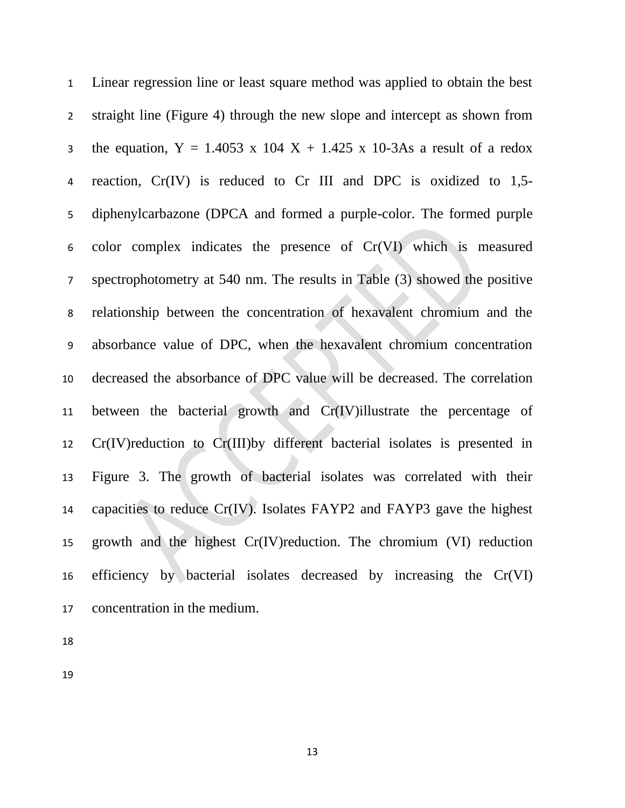Linear regression line or least square method was applied to obtain the best straight line (Figure 4) through the new slope and intercept as shown from 3 the equation,  $Y = 1.4053 \times 104 \times 1.425 \times 10^{-3}$  a result of a redox reaction, Cr(IV) is reduced to Cr III and DPC is oxidized to 1,5- diphenylcarbazone (DPCA and formed a purple-color. The formed purple color complex indicates the presence of  $Cr(VI)$  which is measured spectrophotometry at 540 nm. The results in Table (3) showed the positive relationship between the concentration of hexavalent chromium and the absorbance value of DPC, when the hexavalent chromium concentration decreased the absorbance of DPC value will be decreased. The correlation between the bacterial growth and Cr(IV)illustrate the percentage of Cr(IV)reduction to Cr(III)by different bacterial isolates is presented in Figure 3. The growth of bacterial isolates was correlated with their capacities to reduce Cr(IV). Isolates FAYP2 and FAYP3 gave the highest growth and the highest Cr(IV)reduction. The chromium (VI) reduction efficiency by bacterial isolates decreased by increasing the Cr(VI) concentration in the medium.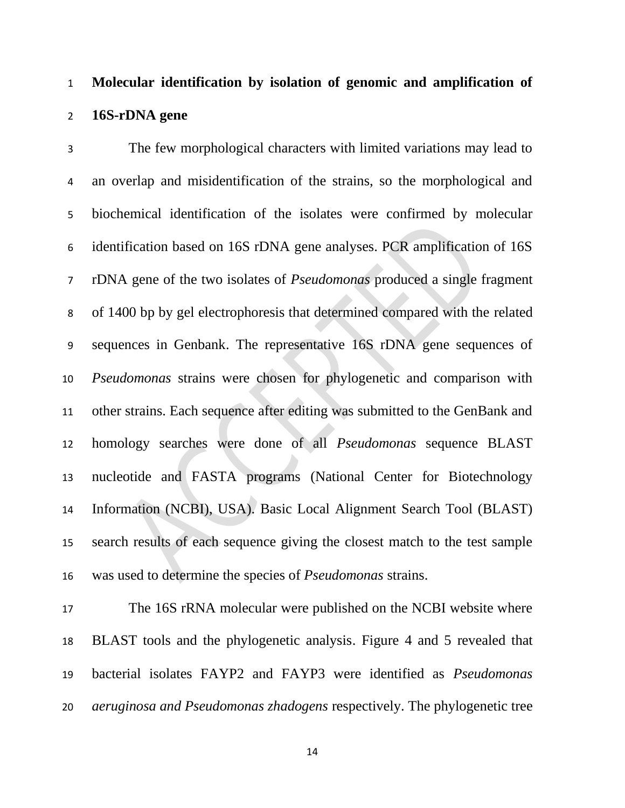# **Molecular identification by isolation of genomic and amplification of 16S-rDNA gene**

 The few morphological characters with limited variations may lead to an overlap and misidentification of the strains, so the morphological and biochemical identification of the isolates were confirmed by molecular identification based on 16S rDNA gene analyses. PCR amplification of 16S rDNA gene of the two isolates of *Pseudomonas* produced a single fragment of 1400 bp by gel electrophoresis that determined compared with the related sequences in Genbank. The representative 16S rDNA gene sequences of *Pseudomonas* strains were chosen for phylogenetic and comparison with other strains. Each sequence after editing was submitted to the GenBank and homology searches were done of all *Pseudomonas* sequence BLAST nucleotide and FASTA programs (National Center for Biotechnology Information (NCBI), USA). Basic Local Alignment Search Tool (BLAST) search results of each sequence giving the closest match to the test sample was used to determine the species of *Pseudomonas* strains.

 The 16S rRNA molecular were published on the NCBI website where BLAST tools and the phylogenetic analysis. Figure 4 and 5 revealed that bacterial isolates FAYP2 and FAYP3 were identified as *Pseudomonas aeruginosa and Pseudomonas zhadogens* respectively. The phylogenetic tree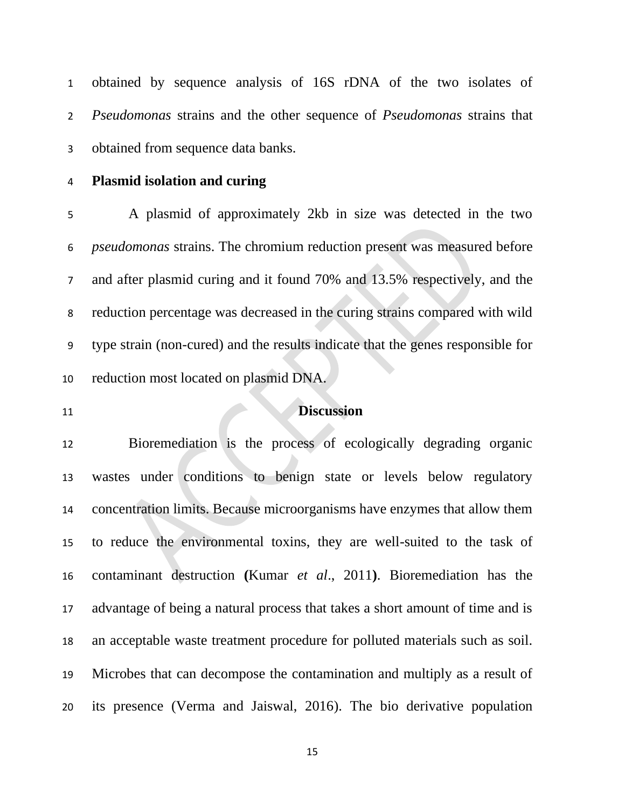obtained by sequence analysis of 16S rDNA of the two isolates of *Pseudomonas* strains and the other sequence of *Pseudomonas* strains that obtained from sequence data banks.

### **Plasmid isolation and curing**

 A plasmid of approximately 2kb in size was detected in the two *pseudomonas* strains. The chromium reduction present was measured before and after plasmid curing and it found 70% and 13.5% respectively, and the reduction percentage was decreased in the curing strains compared with wild type strain (non-cured) and the results indicate that the genes responsible for reduction most located on plasmid DNA.

### **Discussion**

 Bioremediation is the process of ecologically degrading organic wastes under conditions to benign state or levels below regulatory concentration limits. Because microorganisms have enzymes that allow them to reduce the environmental toxins, they are well-suited to the task of contaminant destruction **(**Kumar *et al*., 2011**)**. Bioremediation has the advantage of being a natural process that takes a short amount of time and is an acceptable waste treatment procedure for polluted materials such as soil. Microbes that can decompose the contamination and multiply as a result of its presence (Verma and Jaiswal, 2016). The bio derivative population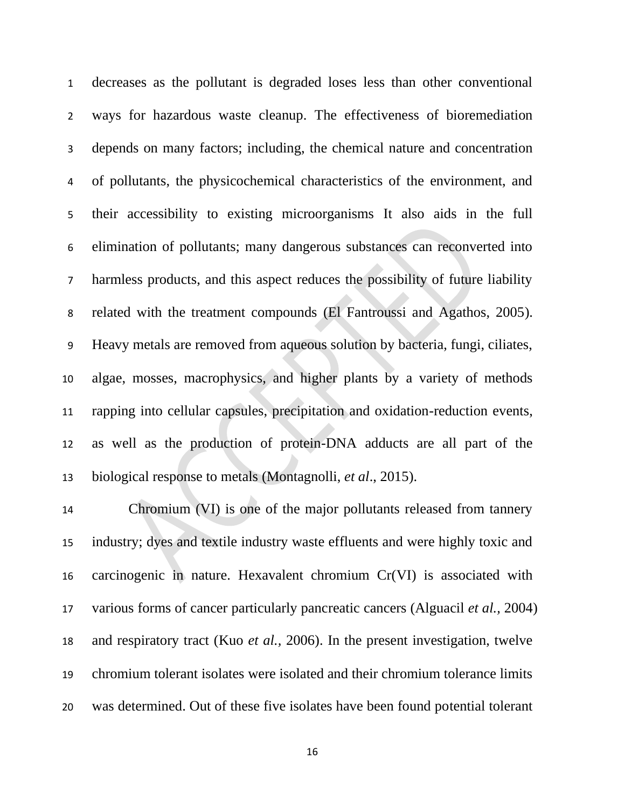decreases as the pollutant is degraded loses less than other conventional ways for hazardous waste cleanup. The effectiveness of bioremediation depends on many factors; including, the chemical nature and concentration of pollutants, the physicochemical characteristics of the environment, and their accessibility to existing microorganisms It also aids in the full elimination of pollutants; many dangerous substances can reconverted into harmless products, and this aspect reduces the possibility of future liability related with the treatment compounds (El Fantroussi and Agathos, 2005). Heavy metals are removed from aqueous solution by bacteria, fungi, ciliates, algae, mosses, macrophysics, and higher plants by a variety of methods rapping into cellular capsules, precipitation and oxidation-reduction events, as well as the production of protein-DNA adducts are all part of the biological response to metals (Montagnolli, *et al*., 2015).

 Chromium (VI) is one of the major pollutants released from tannery industry; dyes and textile industry waste effluents and were highly toxic and carcinogenic in nature. Hexavalent chromium Cr(VI) is associated with various forms of cancer particularly pancreatic cancers (Alguacil *et al.,* 2004) and respiratory tract (Kuo *et al.,* 2006). In the present investigation, twelve chromium tolerant isolates were isolated and their chromium tolerance limits was determined. Out of these five isolates have been found potential tolerant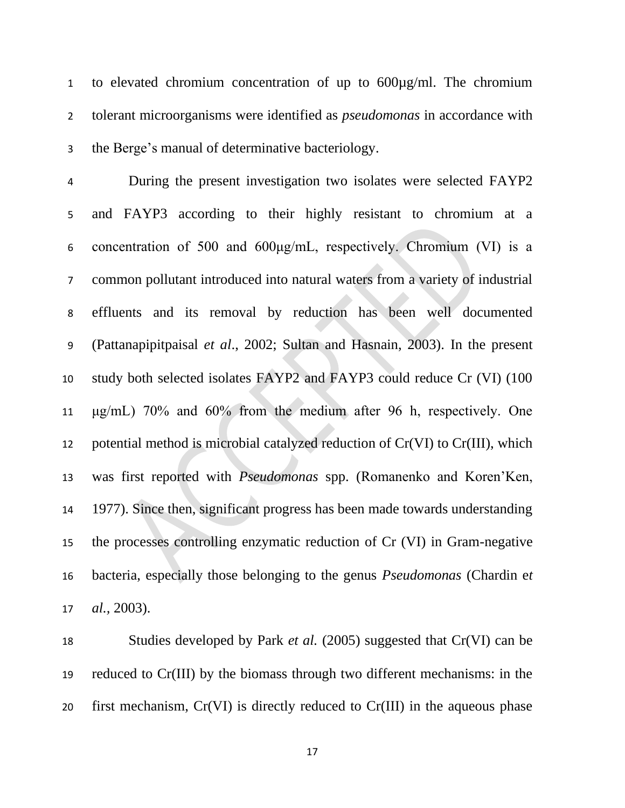to elevated chromium concentration of up to 600µg/ml. The chromium tolerant microorganisms were identified as *pseudomonas* in accordance with the Berge's manual of determinative bacteriology.

 During the present investigation two isolates were selected FAYP2 and FAYP3 according to their highly resistant to chromium at a concentration of 500 and 600μg/mL, respectively. Chromium (VI) is a common pollutant introduced into natural waters from a variety of industrial effluents and its removal by reduction has been well documented (Pattanapipitpaisal *et al*., 2002; Sultan and Hasnain, 2003). In the present study both selected isolates FAYP2 and FAYP3 could reduce Cr (VI) (100 μg/mL) 70% and 60% from the medium after 96 h, respectively. One potential method is microbial catalyzed reduction of Cr(VI) to Cr(III), which was first reported with *Pseudomonas* spp. (Romanenko and Koren'Ken, 1977). Since then, significant progress has been made towards understanding the processes controlling enzymatic reduction of Cr (VI) in Gram-negative bacteria, especially those belonging to the genus *Pseudomonas* (Chardin e*t al.,* 2003).

 Studies developed by Park *et al.* (2005) suggested that Cr(VI) can be reduced to Cr(III) by the biomass through two different mechanisms: in the first mechanism, Cr(VI) is directly reduced to Cr(III) in the aqueous phase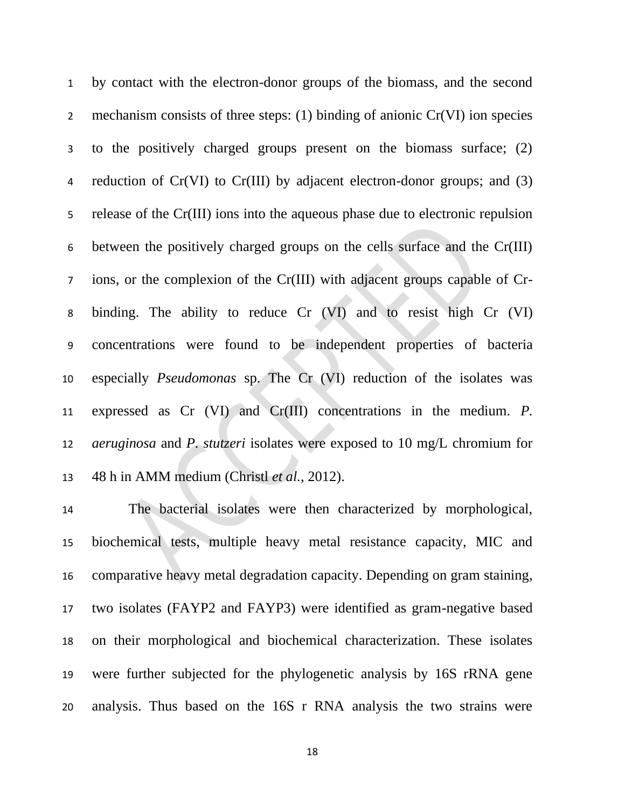by contact with the electron-donor groups of the biomass, and the second mechanism consists of three steps: (1) binding of anionic Cr(VI) ion species to the positively charged groups present on the biomass surface; (2) 4 reduction of Cr(VI) to Cr(III) by adjacent electron-donor groups; and (3) release of the Cr(III) ions into the aqueous phase due to electronic repulsion between the positively charged groups on the cells surface and the Cr(III) ions, or the complexion of the Cr(III) with adjacent groups capable of Cr- binding. The ability to reduce Cr (VI) and to resist high Cr (VI) concentrations were found to be independent properties of bacteria especially *Pseudomonas* sp. The Cr (VI) reduction of the isolates was expressed as Cr (VI) and Cr(III) concentrations in the medium. *P. aeruginosa* and *P. stutzeri* isolates were exposed to 10 mg/L chromium for 48 h in AMM medium (Christl *et al.,* 2012).

 The bacterial isolates were then characterized by morphological, biochemical tests, multiple heavy metal resistance capacity, MIC and comparative heavy metal degradation capacity. Depending on gram staining, two isolates (FAYP2 and FAYP3) were identified as gram-negative based on their morphological and biochemical characterization. These isolates were further subjected for the phylogenetic analysis by 16S rRNA gene analysis. Thus based on the 16S r RNA analysis the two strains were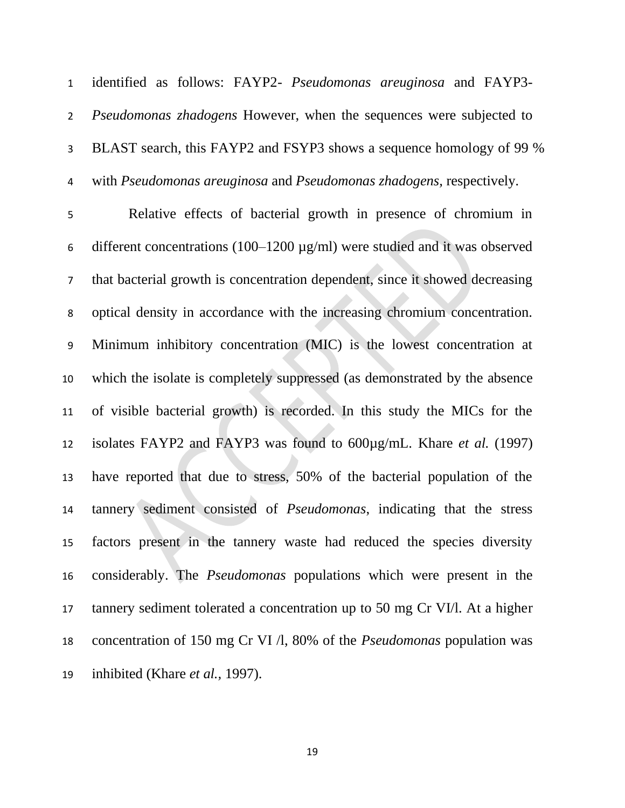identified as follows: FAYP2- *Pseudomonas areuginosa* and FAYP3- *Pseudomonas zhadogens* However, when the sequences were subjected to BLAST search, this FAYP2 and FSYP3 shows a sequence homology of 99 % with *Pseudomonas areuginosa* and *Pseudomonas zhadogens,* respectively*.*

 Relative effects of bacterial growth in presence of chromium in different concentrations (100–1200 µg/ml) were studied and it was observed that bacterial growth is concentration dependent, since it showed decreasing optical density in accordance with the increasing chromium concentration. Minimum inhibitory concentration (MIC) is the lowest concentration at which the isolate is completely suppressed (as demonstrated by the absence of visible bacterial growth) is recorded. In this study the MICs for the isolates FAYP2 and FAYP3 was found to 600µg/mL. Khare *et al.* (1997) have reported that due to stress, 50% of the bacterial population of the tannery sediment consisted of *Pseudomonas*, indicating that the stress factors present in the tannery waste had reduced the species diversity considerably. The *Pseudomonas* populations which were present in the tannery sediment tolerated a concentration up to 50 mg Cr VI/l. At a higher concentration of 150 mg Cr VI /l, 80% of the *Pseudomonas* population was inhibited (Khare *et al.,* 1997).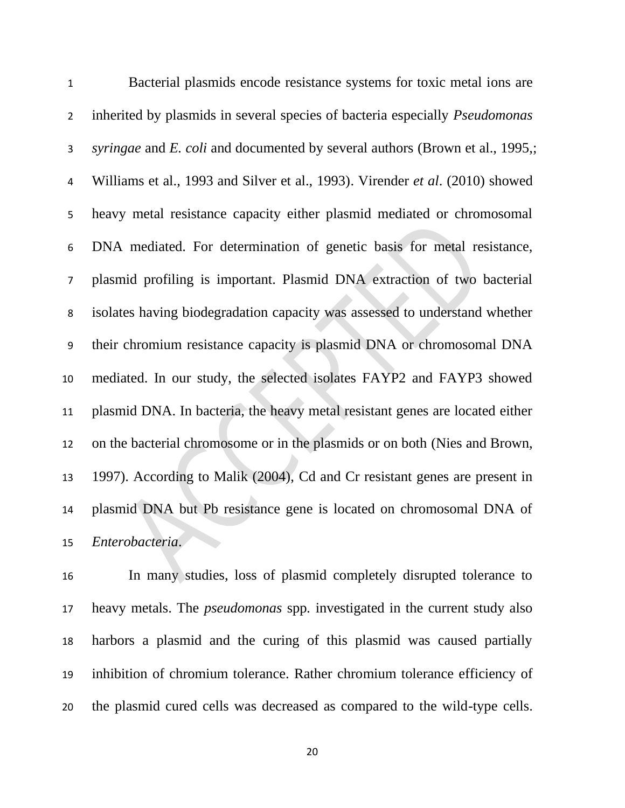Bacterial plasmids encode resistance systems for toxic metal ions are inherited by plasmids in several species of bacteria especially *Pseudomonas syringae* and *E. coli* and documented by several authors (Brown et al., 1995,; Williams et al., 1993 and Silver et al., 1993). Virender *et al*. (2010) showed heavy metal resistance capacity either plasmid mediated or chromosomal DNA mediated. For determination of genetic basis for metal resistance, plasmid profiling is important. Plasmid DNA extraction of two bacterial isolates having biodegradation capacity was assessed to understand whether their chromium resistance capacity is plasmid DNA or chromosomal DNA mediated. In our study, the selected isolates FAYP2 and FAYP3 showed plasmid DNA. In bacteria, the heavy metal resistant genes are located either on the bacterial chromosome or in the plasmids or on both (Nies and Brown, 1997). According to Malik (2004), Cd and Cr resistant genes are present in plasmid DNA but Pb resistance gene is located on chromosomal DNA of *Enterobacteria*.

 In many studies, loss of plasmid completely disrupted tolerance to heavy metals. The *pseudomonas* spp*.* investigated in the current study also harbors a plasmid and the curing of this plasmid was caused partially inhibition of chromium tolerance. Rather chromium tolerance efficiency of the plasmid cured cells was decreased as compared to the wild-type cells.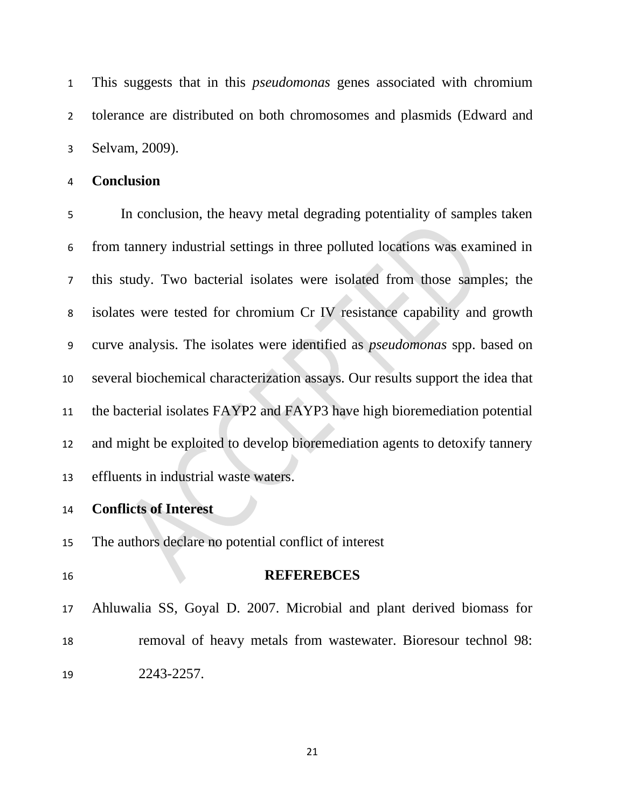This suggests that in this *pseudomonas* genes associated with chromium tolerance are distributed on both chromosomes and plasmids (Edward and Selvam, 2009).

### **Conclusion**

 In conclusion, the heavy metal degrading potentiality of samples taken from tannery industrial settings in three polluted locations was examined in this study. Two bacterial isolates were isolated from those samples; the isolates were tested for chromium Cr IV resistance capability and growth curve analysis. The isolates were identified as *pseudomonas* spp. based on several biochemical characterization assays. Our results support the idea that the bacterial isolates FAYP2 and FAYP3 have high bioremediation potential and might be exploited to develop bioremediation agents to detoxify tannery effluents in industrial waste waters.

### **Conflicts of Interest**

The authors declare no potential conflict of interest

# **REFEREBCES** Ahluwalia SS, Goyal D. 2007. Microbial and plant derived biomass for removal of heavy metals from wastewater. Bioresour technol 98: 2243-2257.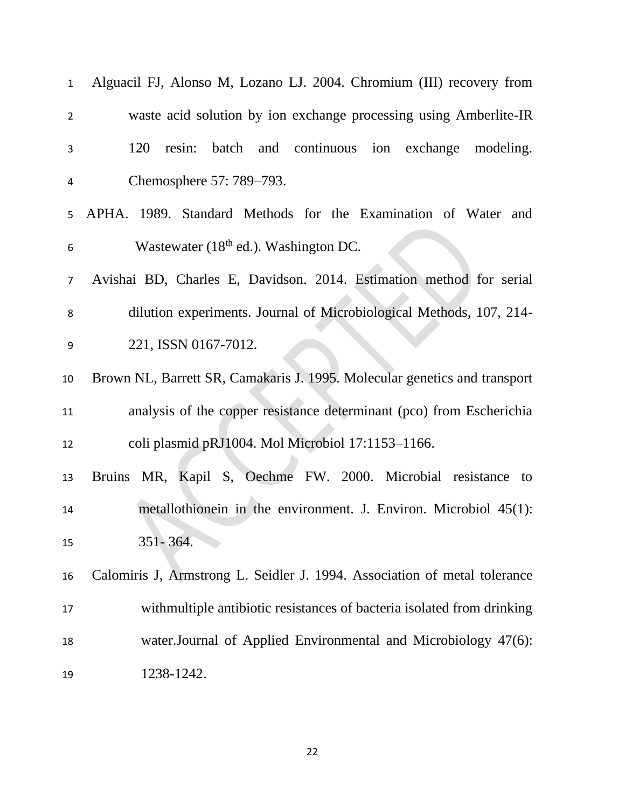| $\mathbf{1}$   | Alguacil FJ, Alonso M, Lozano LJ. 2004. Chromium (III) recovery from      |  |  |  |  |  |
|----------------|---------------------------------------------------------------------------|--|--|--|--|--|
| $\overline{2}$ | waste acid solution by ion exchange processing using Amberlite-IR         |  |  |  |  |  |
| 3              | continuous ion exchange<br>120<br>resin:<br>batch and<br>modeling.        |  |  |  |  |  |
| 4              | Chemosphere 57: 789-793.                                                  |  |  |  |  |  |
| 5              | APHA. 1989. Standard Methods for the Examination of Water and             |  |  |  |  |  |
| 6              | Wastewater $(18th$ ed.). Washington DC.                                   |  |  |  |  |  |
| $\overline{7}$ | Avishai BD, Charles E, Davidson. 2014. Estimation method for serial       |  |  |  |  |  |
| 8              | dilution experiments. Journal of Microbiological Methods, 107, 214-       |  |  |  |  |  |
| 9              | 221, ISSN 0167-7012.                                                      |  |  |  |  |  |
| 10             | Brown NL, Barrett SR, Camakaris J. 1995. Molecular genetics and transport |  |  |  |  |  |
| 11             | analysis of the copper resistance determinant (pco) from Escherichia      |  |  |  |  |  |
| 12             | coli plasmid pRJ1004. Mol Microbiol 17:1153-1166.                         |  |  |  |  |  |
| 13             | Bruins MR, Kapil S, Oechme FW. 2000. Microbial resistance to              |  |  |  |  |  |
| 14             | metallothionein in the environment. J. Environ. Microbiol $45(1)$ :       |  |  |  |  |  |
| 15             | 351-364.                                                                  |  |  |  |  |  |
| 16             | Calomiris J, Armstrong L. Seidler J. 1994. Association of metal tolerance |  |  |  |  |  |
| 17             | with multiple antibiotic resistances of bacteria isolated from drinking   |  |  |  |  |  |
| 18             | water.Journal of Applied Environmental and Microbiology 47(6):            |  |  |  |  |  |
| 19             | 1238-1242.                                                                |  |  |  |  |  |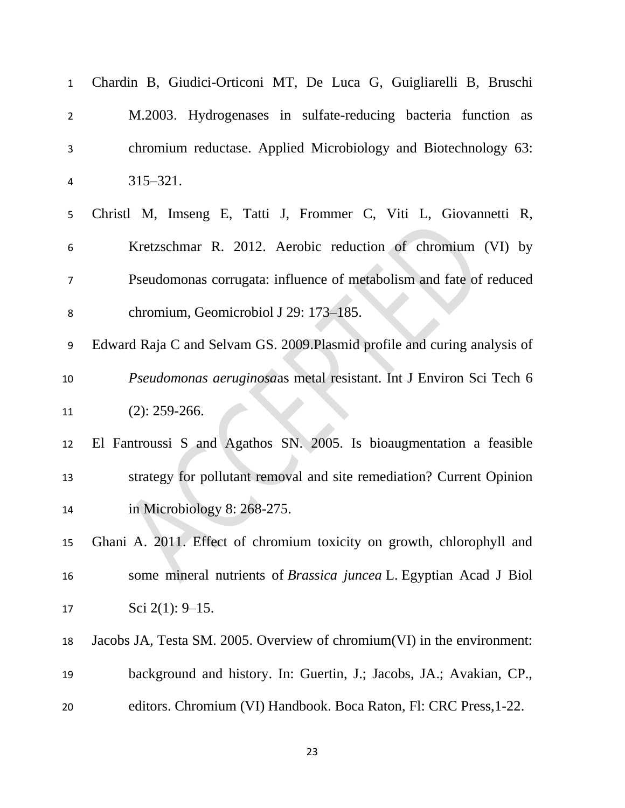| $\mathbf{1}$     | Chardin B, Giudici-Orticoni MT, De Luca G, Guigliarelli B, Bruschi        |  |  |  |  |  |
|------------------|---------------------------------------------------------------------------|--|--|--|--|--|
| $\overline{2}$   | M.2003. Hydrogenases in sulfate-reducing bacteria function as             |  |  |  |  |  |
| 3                | chromium reductase. Applied Microbiology and Biotechnology 63:            |  |  |  |  |  |
| 4                | $315 - 321.$                                                              |  |  |  |  |  |
| 5                | Christl M, Imseng E, Tatti J, Frommer C, Viti L, Giovannetti R,           |  |  |  |  |  |
| 6                | Kretzschmar R. 2012. Aerobic reduction of chromium (VI) by                |  |  |  |  |  |
| 7                | Pseudomonas corrugata: influence of metabolism and fate of reduced        |  |  |  |  |  |
| 8                | chromium, Geomicrobiol J 29: 173-185.                                     |  |  |  |  |  |
| $\boldsymbol{9}$ | Edward Raja C and Selvam GS. 2009. Plasmid profile and curing analysis of |  |  |  |  |  |
| 10               | Pseudomonas aeruginosaas metal resistant. Int J Environ Sci Tech 6        |  |  |  |  |  |
| 11               | $(2): 259-266.$                                                           |  |  |  |  |  |
| 12               | El Fantroussi S and Agathos SN. 2005. Is bioaugmentation a feasible       |  |  |  |  |  |
| 13               | strategy for pollutant removal and site remediation? Current Opinion      |  |  |  |  |  |
| 14               | in Microbiology 8: 268-275.                                               |  |  |  |  |  |
| 15               | Ghani A. 2011. Effect of chromium toxicity on growth, chlorophyll and     |  |  |  |  |  |
| 16               | some mineral nutrients of <i>Brassica juncea</i> L. Egyptian Acad J Biol  |  |  |  |  |  |
| 17               | Sci $2(1)$ : 9-15.                                                        |  |  |  |  |  |
| 18               | Jacobs JA, Testa SM. 2005. Overview of chromium(VI) in the environment:   |  |  |  |  |  |
| 19               | background and history. In: Guertin, J.; Jacobs, JA.; Avakian, CP.,       |  |  |  |  |  |
| 20               | editors. Chromium (VI) Handbook. Boca Raton, Fl: CRC Press, 1-22.         |  |  |  |  |  |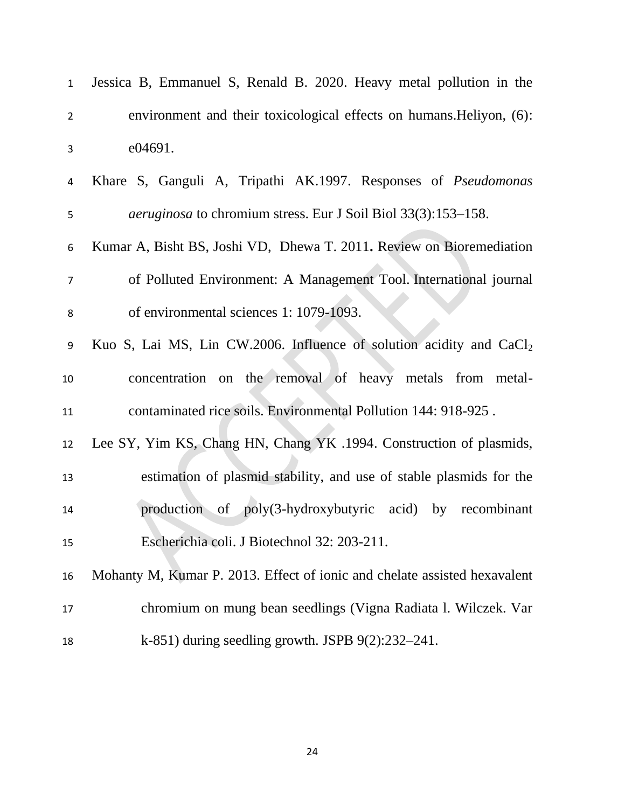| $\mathbf{1}$   | Jessica B, Emmanuel S, Renald B. 2020. Heavy metal pollution in the             |
|----------------|---------------------------------------------------------------------------------|
| $\overline{2}$ | environment and their toxicological effects on humans. Heliyon, (6):            |
| 3              | e04691.                                                                         |
| 4              | Khare S, Ganguli A, Tripathi AK.1997. Responses of Pseudomonas                  |
| 5              | <i>aeruginosa</i> to chromium stress. Eur J Soil Biol 33(3):153–158.            |
| 6              | Kumar A, Bisht BS, Joshi VD, Dhewa T. 2011. Review on Bioremediation            |
| $\overline{7}$ | of Polluted Environment: A Management Tool. International journal               |
| 8              | of environmental sciences 1: 1079-1093.                                         |
| 9              | Kuo S, Lai MS, Lin CW.2006. Influence of solution acidity and CaCl <sub>2</sub> |
| 10             | concentration on the removal of heavy metals from metal-                        |
| 11             | contaminated rice soils. Environmental Pollution 144: 918-925.                  |
| 12             | Lee SY, Yim KS, Chang HN, Chang YK .1994. Construction of plasmids,             |
| 13             | estimation of plasmid stability, and use of stable plasmids for the             |
| 14             | production of poly(3-hydroxybutyric acid) by recombinant                        |
| 15             | Escherichia coli. J Biotechnol 32: 203-211.                                     |
| 16             | Mohanty M, Kumar P. 2013. Effect of ionic and chelate assisted hexavalent       |
| 17             | chromium on mung bean seedlings (Vigna Radiata 1. Wilczek. Var                  |
| 18             | k-851) during seedling growth. JSPB $9(2):232-241$ .                            |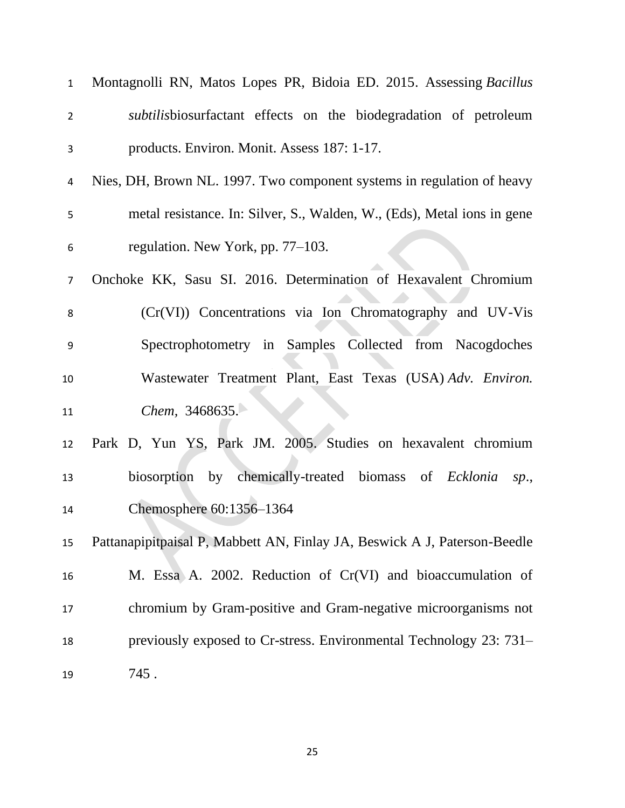| $\mathbf{1}$   | Montagnolli RN, Matos Lopes PR, Bidoia ED. 2015. Assessing Bacillus       |
|----------------|---------------------------------------------------------------------------|
| $\overline{2}$ | subtilisbiosurfactant effects on the biodegradation of petroleum          |
| 3              | products. Environ. Monit. Assess 187: 1-17.                               |
| 4              | Nies, DH, Brown NL. 1997. Two component systems in regulation of heavy    |
| 5              | metal resistance. In: Silver, S., Walden, W., (Eds), Metal ions in gene   |
| 6              | regulation. New York, pp. 77–103.                                         |
| $\overline{7}$ | Onchoke KK, Sasu SI. 2016. Determination of Hexavalent Chromium           |
| 8              | (Cr(VI)) Concentrations via Ion Chromatography and UV-Vis                 |
| 9              | Spectrophotometry in Samples Collected from Nacogdoches                   |
| 10             | Wastewater Treatment Plant, East Texas (USA) Adv. Environ.                |
| 11             | Chem, 3468635.                                                            |
| 12             | Park D, Yun YS, Park JM. 2005. Studies on hexavalent chromium             |
| 13             | biosorption by chemically-treated biomass of Ecklonia sp.,                |
| 14             | Chemosphere 60:1356-1364                                                  |
| 15             | Pattanapipitpaisal P, Mabbett AN, Finlay JA, Beswick A J, Paterson-Beedle |
| 16             | M. Essa A. 2002. Reduction of Cr(VI) and bioaccumulation of               |
| 17             | chromium by Gram-positive and Gram-negative microorganisms not            |
| 18             | previously exposed to Cr-stress. Environmental Technology 23: 731–        |
| 19             | 745.                                                                      |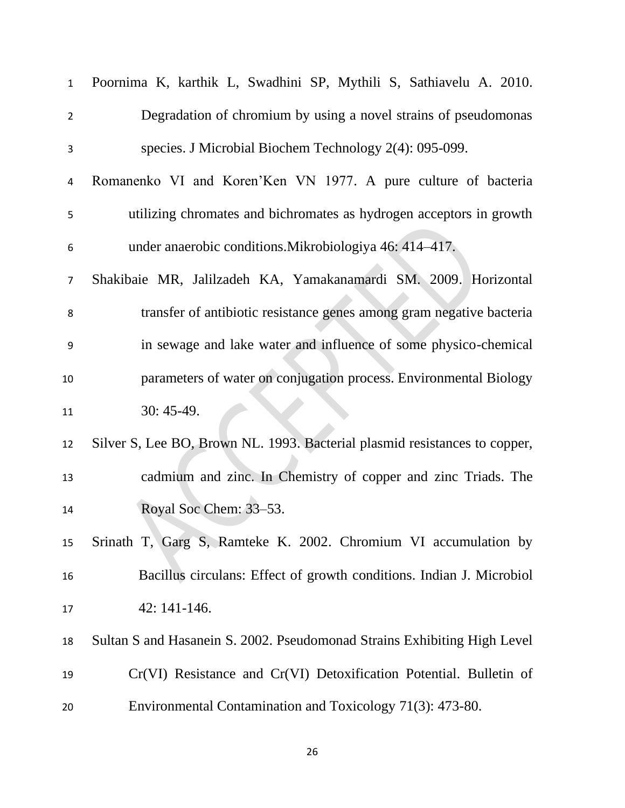| $\mathbf{1}$   | Poornima K, karthik L, Swadhini SP, Mythili S, Sathiavelu A. 2010.         |  |  |  |  |
|----------------|----------------------------------------------------------------------------|--|--|--|--|
| $\overline{2}$ | Degradation of chromium by using a novel strains of pseudomonas            |  |  |  |  |
| 3              | species. J Microbial Biochem Technology 2(4): 095-099.                     |  |  |  |  |
| 4              | Romanenko VI and Koren'Ken VN 1977. A pure culture of bacteria             |  |  |  |  |
| 5              | utilizing chromates and bichromates as hydrogen acceptors in growth        |  |  |  |  |
| 6              | under anaerobic conditions. Mikrobiologiya 46: 414–417.                    |  |  |  |  |
| $\overline{7}$ | Shakibaie MR, Jalilzadeh KA, Yamakanamardi SM. 2009. Horizontal            |  |  |  |  |
| 8              | transfer of antibiotic resistance genes among gram negative bacteria       |  |  |  |  |
| 9              | in sewage and lake water and influence of some physico-chemical            |  |  |  |  |
| 10             | parameters of water on conjugation process. Environmental Biology          |  |  |  |  |
| 11             | $30:45-49.$                                                                |  |  |  |  |
| 12             | Silver S, Lee BO, Brown NL. 1993. Bacterial plasmid resistances to copper, |  |  |  |  |
| 13             | cadmium and zinc. In Chemistry of copper and zinc Triads. The              |  |  |  |  |
| 14             | Royal Soc Chem: 33-53.                                                     |  |  |  |  |
| 15             | Srinath T, Garg S, Ramteke K. 2002. Chromium VI accumulation by            |  |  |  |  |
| 16             | Bacillus circulans: Effect of growth conditions. Indian J. Microbiol       |  |  |  |  |
| 17             | 42: 141-146.                                                               |  |  |  |  |
| 18             | Sultan S and Hasanein S. 2002. Pseudomonad Strains Exhibiting High Level   |  |  |  |  |
| 19             | Cr(VI) Resistance and Cr(VI) Detoxification Potential. Bulletin of         |  |  |  |  |
| 20             | Environmental Contamination and Toxicology 71(3): 473-80.                  |  |  |  |  |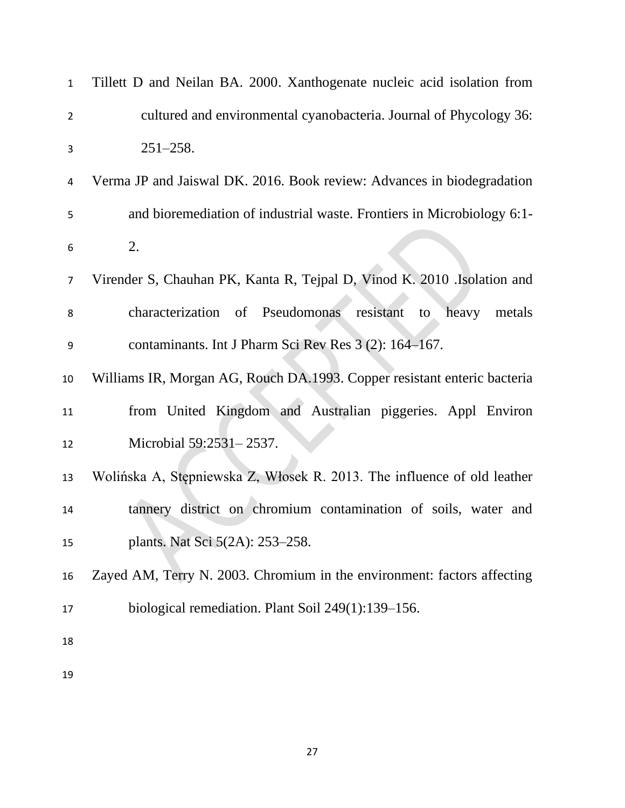| $\mathbf{1}$   | Tillett D and Neilan BA. 2000. Xanthogenate nucleic acid isolation from  |
|----------------|--------------------------------------------------------------------------|
| $\overline{2}$ | cultured and environmental cyanobacteria. Journal of Phycology 36:       |
| 3              | $251 - 258.$                                                             |
| 4              | Verma JP and Jaiswal DK. 2016. Book review: Advances in biodegradation   |
| 5              | and bioremediation of industrial waste. Frontiers in Microbiology 6:1-   |
| 6              | 2.                                                                       |
| $\overline{7}$ | Virender S, Chauhan PK, Kanta R, Tejpal D, Vinod K. 2010 .Isolation and  |
| 8              | characterization of Pseudomonas<br>resistant<br>heavy<br>to<br>metals    |
| 9              | contaminants. Int J Pharm Sci Rev Res 3 (2): 164-167.                    |
| 10             | Williams IR, Morgan AG, Rouch DA.1993. Copper resistant enteric bacteria |
| 11             | from United Kingdom and Australian piggeries. Appl Environ               |
| 12             | Microbial 59:2531-2537.                                                  |
| 13             | Wolińska A, Stępniewska Z, Włosek R. 2013. The influence of old leather  |
| 14             | tannery district on chromium contamination of soils, water and           |
| 15             | plants. Nat Sci 5(2A): 253–258.                                          |
| 16             | Zayed AM, Terry N. 2003. Chromium in the environment: factors affecting  |
| 17             | biological remediation. Plant Soil 249(1):139-156.                       |
| 18             |                                                                          |
| 19             |                                                                          |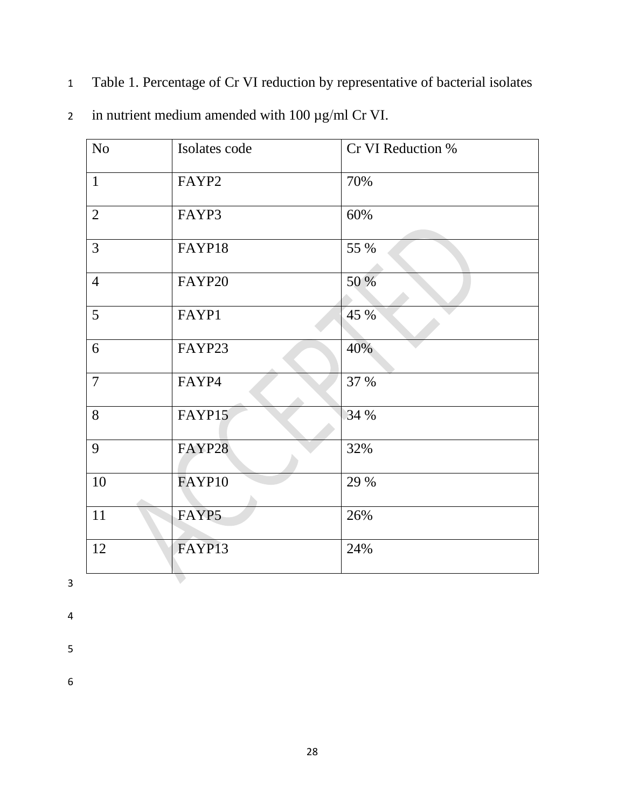Table 1. Percentage of Cr VI reduction by representative of bacterial isolates

| N <sub>o</sub> | Isolates code | Cr VI Reduction % |
|----------------|---------------|-------------------|
| $\mathbf{1}$   | FAYP2         | 70%               |
| $\overline{2}$ | FAYP3         | 60%               |
| $\overline{3}$ | FAYP18        | 55 %              |
| $\overline{4}$ | FAYP20        | 50 %              |
| 5              | FAYP1         | 45 %              |
| 6              | FAYP23        | 40%               |
| $\overline{7}$ | FAYP4         | 37 %              |
| 8              | FAYP15        | 34 %              |
| 9              | FAYP28        | 32%               |
| 10             | FAYP10        | 29 %              |
| 11             | FAYP5         | 26%               |
| 12             | FAYP13        | 24%               |
|                |               |                   |

2 in nutrient medium amended with  $100 \mu g/ml$  Cr VI.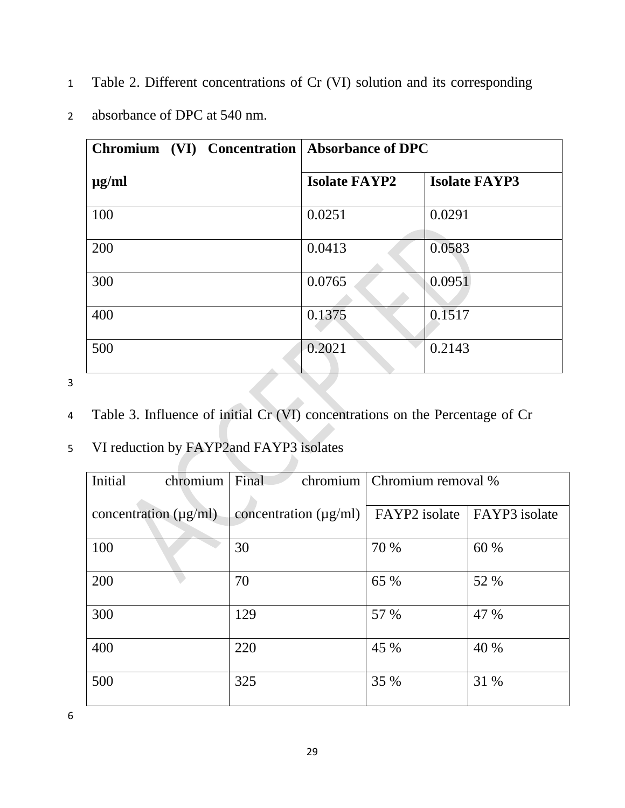Table 2. Different concentrations of Cr (VI) solution and its corresponding

| Chromium (VI) Concentration   Absorbance of DPC |                      |                      |  |
|-------------------------------------------------|----------------------|----------------------|--|
| $\mu$ g/ml                                      | <b>Isolate FAYP2</b> | <b>Isolate FAYP3</b> |  |
| 100                                             | 0.0251               | 0.0291               |  |
| 200                                             | 0.0413               | 0.0583               |  |
| 300                                             | 0.0765               | 0.0951               |  |
| 400                                             | 0.1375               | 0.1517               |  |
| 500                                             | 0.2021               | 0.2143               |  |

absorbance of DPC at 540 nm.

Table 3. Influence of initial Cr (VI) concentrations on the Percentage of Cr

# VI reduction by FAYP2and FAYP3 isolates

| Initial<br>chromium        |  | Final<br>chromium          | Chromium removal % |               |
|----------------------------|--|----------------------------|--------------------|---------------|
| concentration $(\mu g/ml)$ |  | concentration $(\mu g/ml)$ | FAYP2 isolate      | FAYP3 isolate |
| 100                        |  | 30                         | 70 %               | 60 %          |
| 200                        |  | 70                         | 65 %               | 52 %          |
| 300                        |  | 129                        | 57 %               | 47 %          |
| 400                        |  | 220                        | 45 %               | 40 %          |
| 500                        |  | 325                        | 35 %               | 31 %          |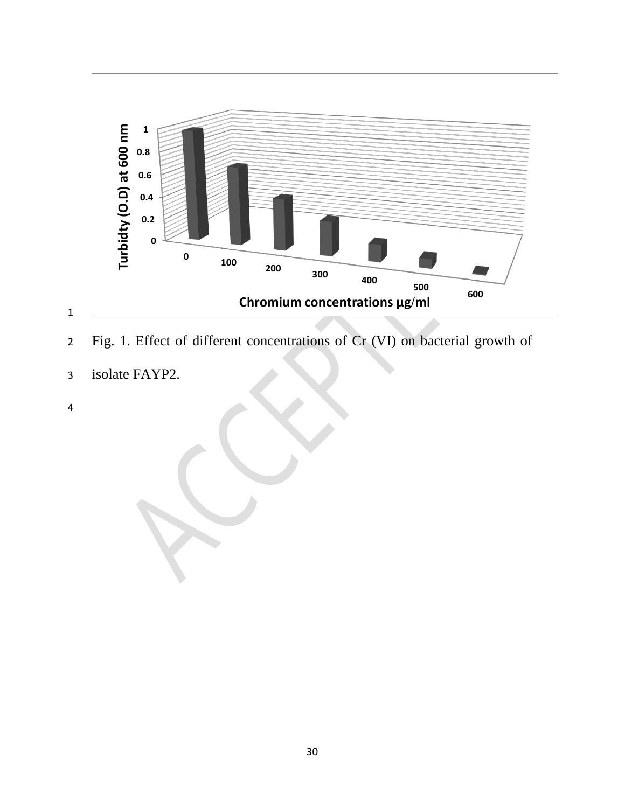

- Fig. 1. Effect of different concentrations of Cr (VI) on bacterial growth of
- isolate FAYP2.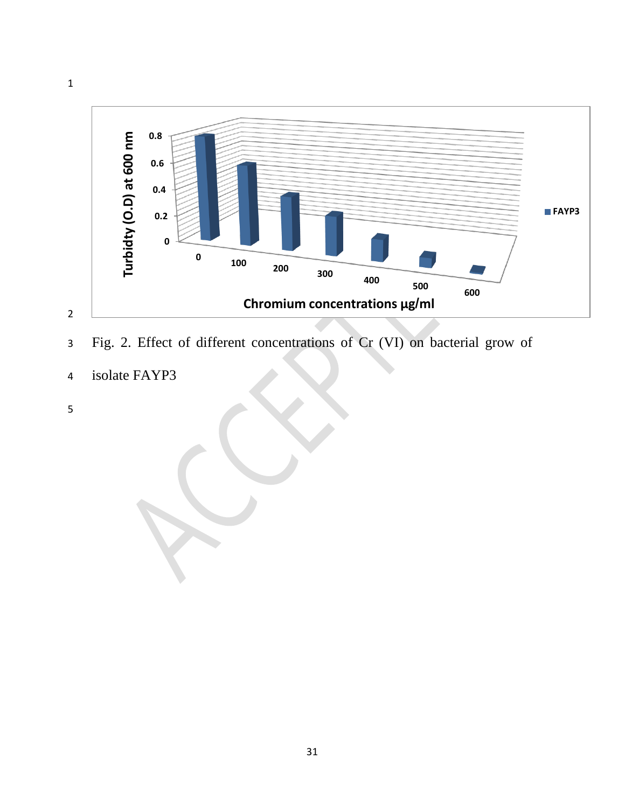

- 3 Fig. 2. Effect of different concentrations of Cr (VI) on bacterial grow of
- 4 isolate FAYP3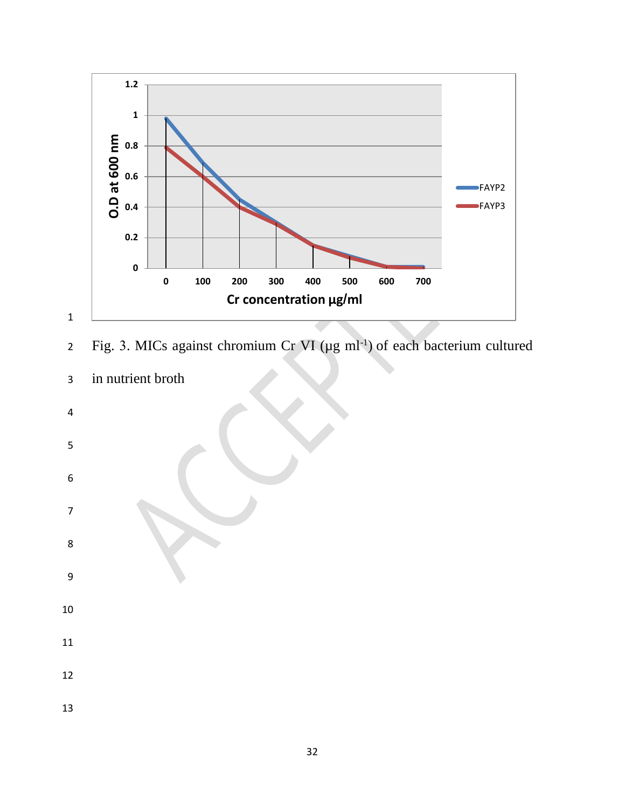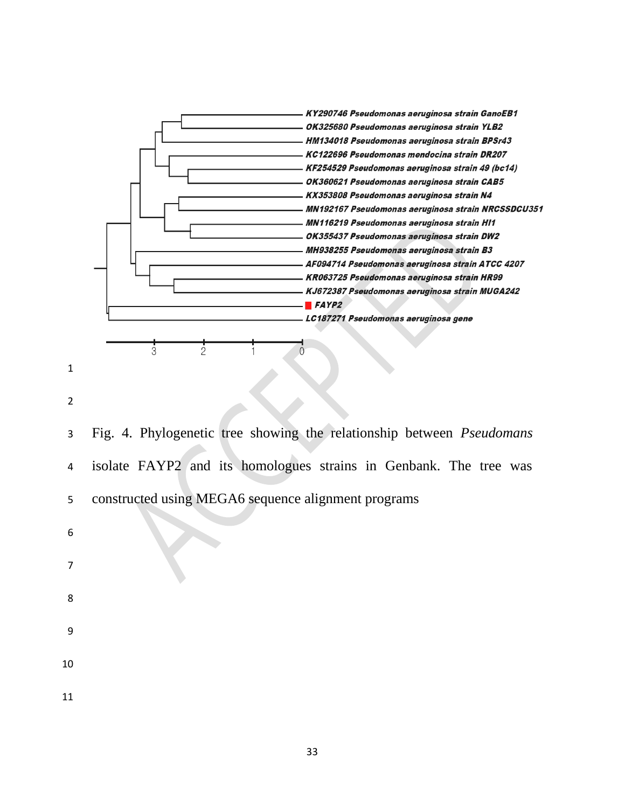

 Fig. 4. Phylogenetic tree showing the relationship between *Pseudomans*  isolate FAYP2 and its homologues strains in Genbank. The tree was constructed using MEGA6 sequence alignment programs

- 
- 
- 
- 
- 
-